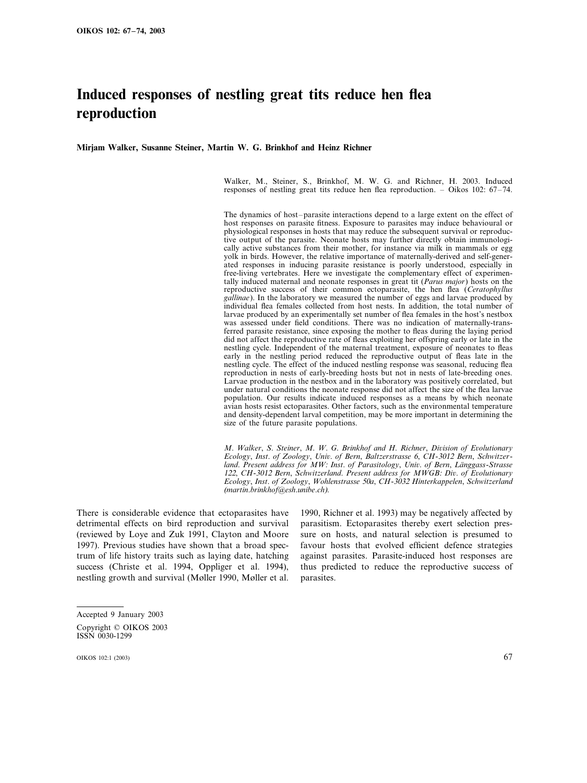# **Induced responses of nestling great tits reduce hen flea reproduction**

**Mirjam Walker, Susanne Steiner, Martin W. G. Brinkhof and Heinz Richner**

Walker, M., Steiner, S., Brinkhof, M. W. G. and Richner, H. 2003. Induced responses of nestling great tits reduce hen flea reproduction. – Oikos 102: 67–74.

The dynamics of host–parasite interactions depend to a large extent on the effect of host responses on parasite fitness. Exposure to parasites may induce behavioural or physiological responses in hosts that may reduce the subsequent survival or reproductive output of the parasite. Neonate hosts may further directly obtain immunologically active substances from their mother, for instance via milk in mammals or egg yolk in birds. However, the relative importance of maternally-derived and self-generated responses in inducing parasite resistance is poorly understood, especially in free-living vertebrates. Here we investigate the complementary effect of experimentally induced maternal and neonate responses in great tit (*Parus major*) hosts on the reproductive success of their common ectoparasite, the hen flea (*Ceratophyllus gallinae*). In the laboratory we measured the number of eggs and larvae produced by individual flea females collected from host nests. In addition, the total number of larvae produced by an experimentally set number of flea females in the host's nestbox was assessed under field conditions. There was no indication of maternally-transferred parasite resistance, since exposing the mother to fleas during the laying period did not affect the reproductive rate of fleas exploiting her offspring early or late in the nestling cycle. Independent of the maternal treatment, exposure of neonates to fleas early in the nestling period reduced the reproductive output of fleas late in the nestling cycle. The effect of the induced nestling response was seasonal, reducing flea reproduction in nests of early-breeding hosts but not in nests of late-breeding ones. Larvae production in the nestbox and in the laboratory was positively correlated, but under natural conditions the neonate response did not affect the size of the flea larvae population. Our results indicate induced responses as a means by which neonate avian hosts resist ectoparasites. Other factors, such as the environmental temperature and density-dependent larval competition, may be more important in determining the size of the future parasite populations.

*M*. *Walker*, *S*. *Steiner*, *M*. *W*. *G*. *Brinkhof and H*. *Richner*, *Diision of Eolutionary Ecology*, *Inst*. *of Zoology*, *Uni*. *of Bern*, *Baltzerstrasse* <sup>6</sup>, *CH*-<sup>3012</sup> *Bern*, *Schwitzerland. Present address for MW: Inst. of Parasitology, Univ. of Bern, Länggass-Strasse* <sup>122</sup>, *CH*-<sup>3012</sup> *Bern*, *Schwitzerland*. *Present address for MWGB*: *Di*. *of Eolutionary Ecology*, *Inst*. *of Zoology*, *Wohlenstrasse* 50*a*, *CH*-3032 *Hinterkappelen*, *Schwitzerland* (*martin*.*brinkhof@esh*.*unibe*.*ch*).

There is considerable evidence that ectoparasites have detrimental effects on bird reproduction and survival (reviewed by Loye and Zuk 1991, Clayton and Moore 1997). Previous studies have shown that a broad spectrum of life history traits such as laying date, hatching success (Christe et al. 1994, Oppliger et al. 1994), nestling growth and survival (Møller 1990, Møller et al.

1990, Richner et al. 1993) may be negatively affected by parasitism. Ectoparasites thereby exert selection pressure on hosts, and natural selection is presumed to favour hosts that evolved efficient defence strategies against parasites. Parasite-induced host responses are thus predicted to reduce the reproductive success of parasites.

Accepted 9 January 2003 Copyright © OIKOS 2003 ISSN 0030-1299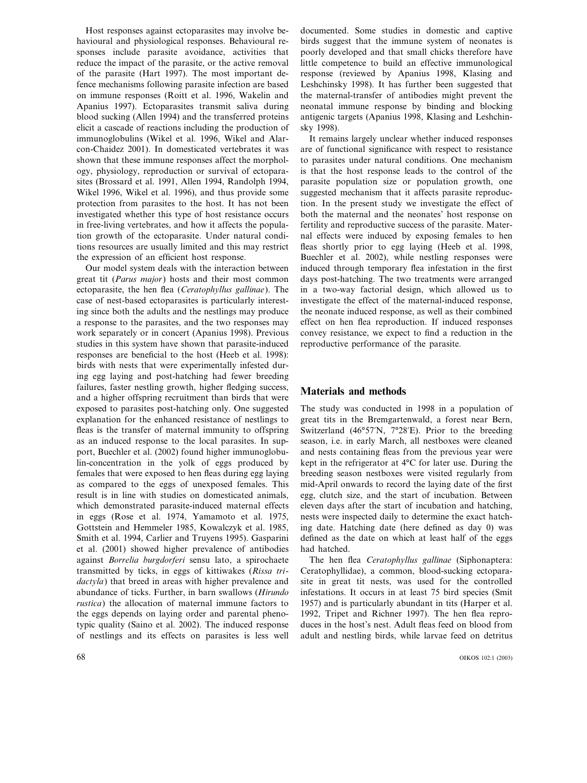Host responses against ectoparasites may involve behavioural and physiological responses. Behavioural responses include parasite avoidance, activities that reduce the impact of the parasite, or the active removal of the parasite (Hart 1997). The most important defence mechanisms following parasite infection are based on immune responses (Roitt et al. 1996, Wakelin and Apanius 1997). Ectoparasites transmit saliva during blood sucking (Allen 1994) and the transferred proteins elicit a cascade of reactions including the production of immunoglobulins (Wikel et al. 1996, Wikel and Alarcon-Chaidez 2001). In domesticated vertebrates it was shown that these immune responses affect the morphology, physiology, reproduction or survival of ectoparasites (Brossard et al. 1991, Allen 1994, Randolph 1994, Wikel 1996, Wikel et al. 1996), and thus provide some protection from parasites to the host. It has not been investigated whether this type of host resistance occurs in free-living vertebrates, and how it affects the population growth of the ectoparasite. Under natural conditions resources are usually limited and this may restrict the expression of an efficient host response.

Our model system deals with the interaction between great tit (*Parus major*) hosts and their most common ectoparasite, the hen flea (*Ceratophyllus gallinae*). The case of nest-based ectoparasites is particularly interesting since both the adults and the nestlings may produce a response to the parasites, and the two responses may work separately or in concert (Apanius 1998). Previous studies in this system have shown that parasite-induced responses are beneficial to the host (Heeb et al. 1998): birds with nests that were experimentally infested during egg laying and post-hatching had fewer breeding failures, faster nestling growth, higher fledging success, and a higher offspring recruitment than birds that were exposed to parasites post-hatching only. One suggested explanation for the enhanced resistance of nestlings to fleas is the transfer of maternal immunity to offspring as an induced response to the local parasites. In support, Buechler et al. (2002) found higher immunoglobulin-concentration in the yolk of eggs produced by females that were exposed to hen fleas during egg laying as compared to the eggs of unexposed females. This result is in line with studies on domesticated animals, which demonstrated parasite-induced maternal effects in eggs (Rose et al. 1974, Yamamoto et al. 1975, Gottstein and Hemmeler 1985, Kowalczyk et al. 1985, Smith et al. 1994, Carlier and Truyens 1995). Gasparini et al. (2001) showed higher prevalence of antibodies against *Borrelia burgdorferi* sensu lato, a spirochaete transmitted by ticks, in eggs of kittiwakes (*Rissa tridactyla*) that breed in areas with higher prevalence and abundance of ticks. Further, in barn swallows (*Hirundo rustica*) the allocation of maternal immune factors to the eggs depends on laying order and parental phenotypic quality (Saino et al. 2002). The induced response of nestlings and its effects on parasites is less well

documented. Some studies in domestic and captive birds suggest that the immune system of neonates is poorly developed and that small chicks therefore have little competence to build an effective immunological response (reviewed by Apanius 1998, Klasing and Leshchinsky 1998). It has further been suggested that the maternal-transfer of antibodies might prevent the neonatal immune response by binding and blocking antigenic targets (Apanius 1998, Klasing and Leshchinsky 1998).

It remains largely unclear whether induced responses are of functional significance with respect to resistance to parasites under natural conditions. One mechanism is that the host response leads to the control of the parasite population size or population growth, one suggested mechanism that it affects parasite reproduction. In the present study we investigate the effect of both the maternal and the neonates' host response on fertility and reproductive success of the parasite. Maternal effects were induced by exposing females to hen fleas shortly prior to egg laying (Heeb et al. 1998, Buechler et al. 2002), while nestling responses were induced through temporary flea infestation in the first days post-hatching. The two treatments were arranged in a two-way factorial design, which allowed us to investigate the effect of the maternal-induced response, the neonate induced response, as well as their combined effect on hen flea reproduction. If induced responses convey resistance, we expect to find a reduction in the reproductive performance of the parasite.

### **Materials and methods**

The study was conducted in 1998 in a population of great tits in the Bremgartenwald, a forest near Bern, Switzerland (46°57'N, 7°28'E). Prior to the breeding season, i.e. in early March, all nestboxes were cleaned and nests containing fleas from the previous year were kept in the refrigerator at 4°C for later use. During the breeding season nestboxes were visited regularly from mid-April onwards to record the laying date of the first egg, clutch size, and the start of incubation. Between eleven days after the start of incubation and hatching, nests were inspected daily to determine the exact hatching date. Hatching date (here defined as day 0) was defined as the date on which at least half of the eggs had hatched.

The hen flea *Ceratophyllus gallinae* (Siphonaptera: Ceratophyllidae), a common, blood-sucking ectoparasite in great tit nests, was used for the controlled infestations. It occurs in at least 75 bird species (Smit 1957) and is particularly abundant in tits (Harper et al. 1992, Tripet and Richner 1997). The hen flea reproduces in the host's nest. Adult fleas feed on blood from adult and nestling birds, while larvae feed on detritus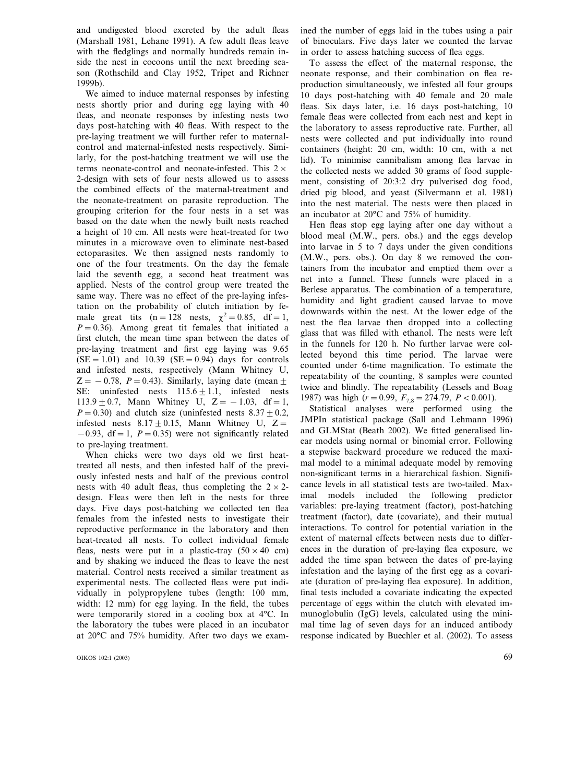and undigested blood excreted by the adult fleas (Marshall 1981, Lehane 1991). A few adult fleas leave with the fledglings and normally hundreds remain inside the nest in cocoons until the next breeding season (Rothschild and Clay 1952, Tripet and Richner 1999b).

We aimed to induce maternal responses by infesting nests shortly prior and during egg laying with 40 fleas, and neonate responses by infesting nests two days post-hatching with 40 fleas. With respect to the pre-laying treatment we will further refer to maternalcontrol and maternal-infested nests respectively. Similarly, for the post-hatching treatment we will use the terms neonate-control and neonate-infested. This  $2 \times$ 2-design with sets of four nests allowed us to assess the combined effects of the maternal-treatment and the neonate-treatment on parasite reproduction. The grouping criterion for the four nests in a set was based on the date when the newly built nests reached a height of 10 cm. All nests were heat-treated for two minutes in a microwave oven to eliminate nest-based ectoparasites. We then assigned nests randomly to one of the four treatments. On the day the female laid the seventh egg, a second heat treatment was applied. Nests of the control group were treated the same way. There was no effect of the pre-laying infestation on the probability of clutch initiation by female great tits  $(n=128 \text{ nests}, \gamma^2=0.85, \text{ df}=1,$  $P = 0.36$ . Among great tit females that initiated a first clutch, the mean time span between the dates of pre-laying treatment and first egg laying was 9.65  $(SE = 1.01)$  and 10.39  $(SE = 0.94)$  days for controls and infested nests, respectively (Mann Whitney U,  $Z = -0.78$ ,  $P = 0.43$ ). Similarly, laying date (mean + SE: uninfested nests  $115.6 \pm 1.1$ , infested nests 113.9  $\pm$  0.7, Mann Whitney U, Z = -1.03, df = 1,  $P=0.30$ ) and clutch size (uninfested nests  $8.37+0.2$ , infested nests  $8.17 \pm 0.15$ , Mann Whitney U, Z=  $-0.93$ , df = 1, *P* = 0.35) were not significantly related to pre-laying treatment.

When chicks were two days old we first heattreated all nests, and then infested half of the previously infested nests and half of the previous control nests with 40 adult fleas, thus completing the  $2 \times 2$ design. Fleas were then left in the nests for three days. Five days post-hatching we collected ten flea females from the infested nests to investigate their reproductive performance in the laboratory and then heat-treated all nests. To collect individual female fleas, nests were put in a plastic-tray  $(50 \times 40 \text{ cm})$ and by shaking we induced the fleas to leave the nest material. Control nests received a similar treatment as experimental nests. The collected fleas were put individually in polypropylene tubes (length: 100 mm, width: 12 mm) for egg laying. In the field, the tubes were temporarily stored in a cooling box at 4°C. In the laboratory the tubes were placed in an incubator at 20°C and 75% humidity. After two days we examined the number of eggs laid in the tubes using a pair of binoculars. Five days later we counted the larvae in order to assess hatching success of flea eggs.

To assess the effect of the maternal response, the neonate response, and their combination on flea reproduction simultaneously, we infested all four groups 10 days post-hatching with 40 female and 20 male fleas. Six days later, i.e. 16 days post-hatching, 10 female fleas were collected from each nest and kept in the laboratory to assess reproductive rate. Further, all nests were collected and put individually into round containers (height: 20 cm, width: 10 cm, with a net lid). To minimise cannibalism among flea larvae in the collected nests we added 30 grams of food supplement, consisting of 20:3:2 dry pulverised dog food, dried pig blood, and yeast (Silvermann et al. 1981) into the nest material. The nests were then placed in an incubator at 20°C and 75% of humidity.

Hen fleas stop egg laying after one day without a blood meal (M.W., pers. obs.) and the eggs develop into larvae in 5 to 7 days under the given conditions (M.W., pers. obs.). On day 8 we removed the containers from the incubator and emptied them over a net into a funnel. These funnels were placed in a Berlese apparatus. The combination of a temperature, humidity and light gradient caused larvae to move downwards within the nest. At the lower edge of the nest the flea larvae then dropped into a collecting glass that was filled with ethanol. The nests were left in the funnels for 120 h. No further larvae were collected beyond this time period. The larvae were counted under 6-time magnification. To estimate the repeatability of the counting, 8 samples were counted twice and blindly. The repeatability (Lessels and Boag 1987) was high ( $r = 0.99$ ,  $F_{7,8} = 274.79$ ,  $P < 0.001$ ).

Statistical analyses were performed using the JMPIn statistical package (Sall and Lehmann 1996) and GLMStat (Beath 2002). We fitted generalised linear models using normal or binomial error. Following a stepwise backward procedure we reduced the maximal model to a minimal adequate model by removing non-significant terms in a hierarchical fashion. Significance levels in all statistical tests are two-tailed. Maximal models included the following predictor variables: pre-laying treatment (factor), post-hatching treatment (factor), date (covariate), and their mutual interactions. To control for potential variation in the extent of maternal effects between nests due to differences in the duration of pre-laying flea exposure, we added the time span between the dates of pre-laying infestation and the laying of the first egg as a covariate (duration of pre-laying flea exposure). In addition, final tests included a covariate indicating the expected percentage of eggs within the clutch with elevated immunoglobulin (IgG) levels, calculated using the minimal time lag of seven days for an induced antibody response indicated by Buechler et al. (2002). To assess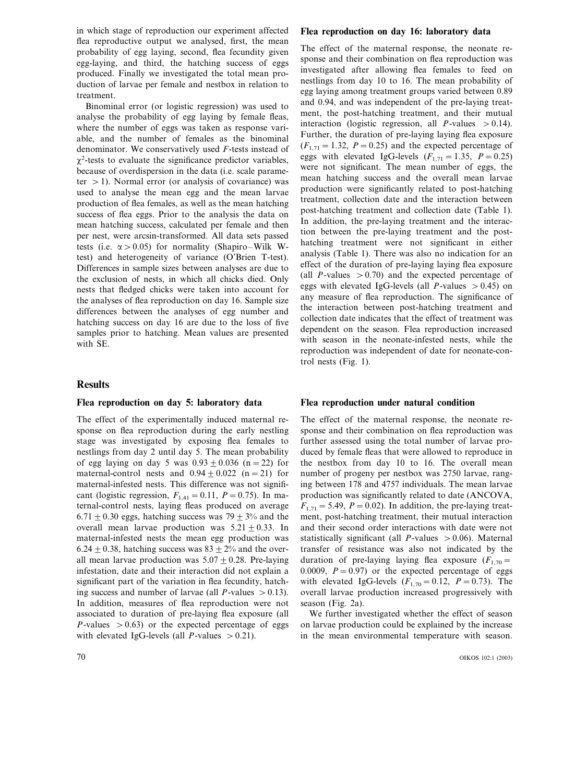in which stage of reproduction our experiment affected flea reproductive output we analysed, first, the mean probability of egg laying, second, flea fecundity given egg-laying, and third, the hatching success of eggs produced. Finally we investigated the total mean production of larvae per female and nestbox in relation to treatment.

Binominal error (or logistic regression) was used to analyse the probability of egg laying by female fleas, where the number of eggs was taken as response variable, and the number of females as the binominal denominator. We conservatively used *F*-tests instead of  $\chi^2$ -tests to evaluate the significance predictor variables, because of overdispersion in the data (i.e. scale parameter  $> 1$ ). Normal error (or analysis of covariance) was used to analyse the mean egg and the mean larvae production of flea females, as well as the mean hatching success of flea eggs. Prior to the analysis the data on mean hatching success, calculated per female and then per nest, were arcsin-transformed. All data sets passed tests (i.e.  $\alpha > 0.05$ ) for normality (Shapiro–Wilk Wtest) and heterogeneity of variance (O'Brien T-test). Differences in sample sizes between analyses are due to the exclusion of nests, in which all chicks died. Only nests that fledged chicks were taken into account for the analyses of flea reproduction on day 16. Sample size differences between the analyses of egg number and hatching success on day 16 are due to the loss of five samples prior to hatching. Mean values are presented with SE.

# **Results**

#### **Flea reproduction on day 5: laboratory data**

The effect of the experimentally induced maternal response on flea reproduction during the early nestling stage was investigated by exposing flea females to nestlings from day 2 until day 5. The mean probability of egg laying on day 5 was  $0.93 + 0.036$  (n = 22) for maternal-control nests and  $0.94 \pm 0.022$  (n = 21) for maternal-infested nests. This difference was not significant (logistic regression,  $F_{1,41} = 0.11$ ,  $P = 0.75$ ). In maternal-control nests, laying fleas produced on average  $6.71 + 0.30$  eggs, hatching success was  $79 + 3\%$  and the overall mean larvae production was  $5.21 \pm 0.33$ . In maternal-infested nests the mean egg production was 6.24  $\pm$  0.38, hatching success was 83  $\pm$  2% and the overall mean larvae production was  $5.07 \pm 0.28$ . Pre-laying infestation, date and their interaction did not explain a significant part of the variation in flea fecundity, hatching success and number of larvae (all *P*-values  $> 0.13$ ). In addition, measures of flea reproduction were not associated to duration of pre-laying flea exposure (all *P*-values  $> 0.63$  or the expected percentage of eggs with elevated IgG-levels (all *P*-values  $> 0.21$ ).

#### **Flea reproduction on day 16: laboratory data**

The effect of the maternal response, the neonate response and their combination on flea reproduction was investigated after allowing flea females to feed on nestlings from day 10 to 16. The mean probability of egg laying among treatment groups varied between 0.89 and 0.94, and was independent of the pre-laying treatment, the post-hatching treatment, and their mutual interaction (logistic regression, all *P*-values  $> 0.14$ ). Further, the duration of pre-laying laying flea exposure  $(F_{1,71}=1.32, P=0.25)$  and the expected percentage of eggs with elevated IgG-levels  $(F_{1,71} = 1.35, P = 0.25)$ were not significant. The mean number of eggs, the mean hatching success and the overall mean larvae production were significantly related to post-hatching treatment, collection date and the interaction between post-hatching treatment and collection date (Table 1). In addition, the pre-laying treatment and the interaction between the pre-laying treatment and the posthatching treatment were not significant in either analysis (Table 1). There was also no indication for an effect of the duration of pre-laying laying flea exposure (all *P*-values  $> 0.70$ ) and the expected percentage of eggs with elevated IgG-levels (all *P*-values  $> 0.45$ ) on any measure of flea reproduction. The significance of the interaction between post-hatching treatment and collection date indicates that the effect of treatment was dependent on the season. Flea reproduction increased with season in the neonate-infested nests, while the reproduction was independent of date for neonate-control nests (Fig. 1).

#### **Flea reproduction under natural condition**

The effect of the maternal response, the neonate response and their combination on flea reproduction was further assessed using the total number of larvae produced by female fleas that were allowed to reproduce in the nestbox from day 10 to 16. The overall mean number of progeny per nestbox was 2750 larvae, ranging between 178 and 4757 individuals. The mean larvae production was significantly related to date (ANCOVA,  $F_{1,71} = 5.49$ ,  $P = 0.02$ ). In addition, the pre-laying treatment, post-hatching treatment, their mutual interaction and their second order interactions with date were not statistically significant (all  $P$ -values  $> 0.06$ ). Maternal transfer of resistance was also not indicated by the duration of pre-laying laying flea exposure  $(F_{1,70}$ = 0.0009,  $P = 0.97$  or the expected percentage of eggs with elevated IgG-levels  $(F_{1,70} = 0.12, P = 0.73)$ . The overall larvae production increased progressively with season (Fig. 2a).

We further investigated whether the effect of season on larvae production could be explained by the increase in the mean environmental temperature with season.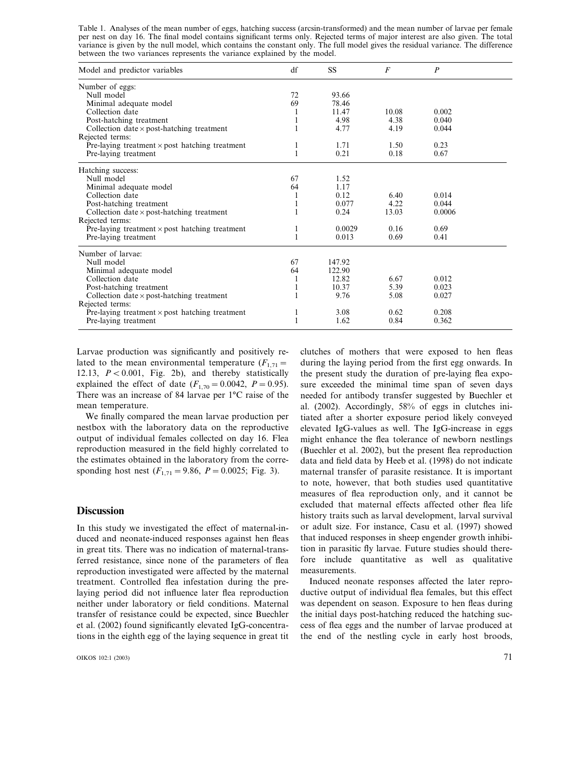Table 1. Analyses of the mean number of eggs, hatching success (arcsin-transformed) and the mean number of larvae per female per nest on day 16. The final model contains significant terms only. Rejected terms of major interest are also given. The total variance is given by the null model, which contains the constant only. The full model gives the residual variance. The difference between the two variances represents the variance explained by the model.

| Model and predictor variables                         | df | SS     | F     | $\overline{P}$ |  |
|-------------------------------------------------------|----|--------|-------|----------------|--|
| Number of eggs:                                       |    |        |       |                |  |
| Null model                                            | 72 | 93.66  |       |                |  |
| Minimal adequate model                                | 69 | 78.46  |       |                |  |
| Collection date                                       | 1  | 11.47  | 10.08 | 0.002          |  |
| Post-hatching treatment                               |    | 4.98   | 4.38  | 0.040          |  |
| Collection date $\times$ post-hatching treatment      |    | 4.77   | 4.19  | 0.044          |  |
| Rejected terms:                                       |    |        |       |                |  |
| Pre-laying treatment $\times$ post hatching treatment | 1  | 1.71   | 1.50  | 0.23           |  |
| Pre-laying treatment                                  |    | 0.21   | 0.18  | 0.67           |  |
| Hatching success:                                     |    |        |       |                |  |
| Null model                                            | 67 | 1.52   |       |                |  |
| Minimal adequate model                                | 64 | 1.17   |       |                |  |
| Collection date                                       | 1  | 0.12   | 6.40  | 0.014          |  |
| Post-hatching treatment                               |    | 0.077  | 4.22  | 0.044          |  |
| Collection date $\times$ post-hatching treatment      |    | 0.24   | 13.03 | 0.0006         |  |
| Rejected terms:                                       |    |        |       |                |  |
| Pre-laying treatment $\times$ post hatching treatment | 1  | 0.0029 | 0.16  | 0.69           |  |
| Pre-laying treatment                                  | 1  | 0.013  | 0.69  | 0.41           |  |
| Number of larvae:                                     |    |        |       |                |  |
| Null model                                            | 67 | 147.92 |       |                |  |
| Minimal adequate model                                | 64 | 122.90 |       |                |  |
| Collection date                                       | 1  | 12.82  | 6.67  | 0.012          |  |
| Post-hatching treatment                               | 1  | 10.37  | 5.39  | 0.023          |  |
| Collection date $\times$ post-hatching treatment      |    | 9.76   | 5.08  | 0.027          |  |
| Rejected terms:                                       |    |        |       |                |  |
| Pre-laying treatment $\times$ post hatching treatment | 1  | 3.08   | 0.62  | 0.208          |  |
| Pre-laying treatment                                  |    | 1.62   | 0.84  | 0.362          |  |

Larvae production was significantly and positively related to the mean environmental temperature  $(F_{1,71}$ = 12.13,  $P < 0.001$ , Fig. 2b), and thereby statistically explained the effect of date  $(F_{1,70} = 0.0042, P = 0.95)$ . There was an increase of 84 larvae per 1°C raise of the mean temperature.

We finally compared the mean larvae production per nestbox with the laboratory data on the reproductive output of individual females collected on day 16. Flea reproduction measured in the field highly correlated to the estimates obtained in the laboratory from the corresponding host nest  $(F_{1,71} = 9.86, P = 0.0025;$  Fig. 3).

# **Discussion**

In this study we investigated the effect of maternal-induced and neonate-induced responses against hen fleas in great tits. There was no indication of maternal-transferred resistance, since none of the parameters of flea reproduction investigated were affected by the maternal treatment. Controlled flea infestation during the prelaying period did not influence later flea reproduction neither under laboratory or field conditions. Maternal transfer of resistance could be expected, since Buechler et al. (2002) found significantly elevated IgG-concentrations in the eighth egg of the laying sequence in great tit clutches of mothers that were exposed to hen fleas during the laying period from the first egg onwards. In the present study the duration of pre-laying flea exposure exceeded the minimal time span of seven days needed for antibody transfer suggested by Buechler et al. (2002). Accordingly, 58% of eggs in clutches initiated after a shorter exposure period likely conveyed elevated IgG-values as well. The IgG-increase in eggs might enhance the flea tolerance of newborn nestlings (Buechler et al. 2002), but the present flea reproduction data and field data by Heeb et al. (1998) do not indicate maternal transfer of parasite resistance. It is important to note, however, that both studies used quantitative measures of flea reproduction only, and it cannot be excluded that maternal effects affected other flea life history traits such as larval development, larval survival or adult size. For instance, Casu et al. (1997) showed that induced responses in sheep engender growth inhibition in parasitic fly larvae. Future studies should therefore include quantitative as well as qualitative measurements.

Induced neonate responses affected the later reproductive output of individual flea females, but this effect was dependent on season. Exposure to hen fleas during the initial days post-hatching reduced the hatching success of flea eggs and the number of larvae produced at the end of the nestling cycle in early host broods,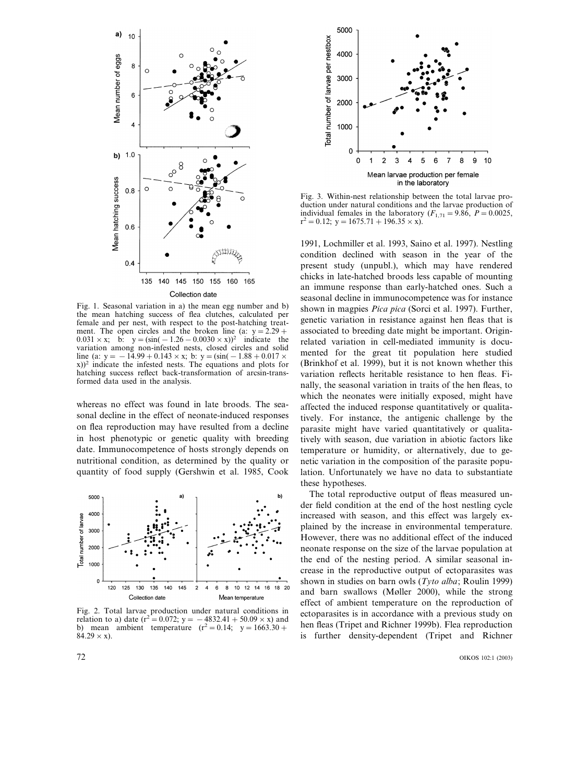

Fig. 1. Seasonal variation in a) the mean egg number and b) the mean hatching success of flea clutches, calculated per female and per nest, with respect to the post-hatching treatment. The open circles and the broken line (a:  $y = 2.29 +$ 0.031 × x; b:  $y = (\sin(-1.26 - 0.0030 \times x))^2$  indicate the variation among non-infested nests, closed circles and solid line (a: y =  $-14.99 + 0.143 \times x$ ; b: y = (sin( − 1.88 + 0.017  $\times$ x))<sup>2</sup> indicate the infested nests. The equations and plots for hatching success reflect back-transformation of arcsin-transformed data used in the analysis.

whereas no effect was found in late broods. The seasonal decline in the effect of neonate-induced responses on flea reproduction may have resulted from a decline in host phenotypic or genetic quality with breeding date. Immunocompetence of hosts strongly depends on nutritional condition, as determined by the quality or quantity of food supply (Gershwin et al. 1985, Cook



Fig. 2. Total larvae production under natural conditions in relation to a) date ( $r^2 = 0.072$ ;  $y = -4832.41 + 50.09 \times x$ ) and b) mean ambient temperature  $(r^2=0.14; y=1663.30+$  $84.29 \times x$ ).



Fig. 3. Within-nest relationship between the total larvae production under natural conditions and the larvae production of individual females in the laboratory  $(F_{1,71} = 9.86, P = 0.0025,$  $r^2 = 0.12$ ; y = 1675.71 + 196.35 × x).

1991, Lochmiller et al. 1993, Saino et al. 1997). Nestling condition declined with season in the year of the present study (unpubl.), which may have rendered chicks in late-hatched broods less capable of mounting an immune response than early-hatched ones. Such a seasonal decline in immunocompetence was for instance shown in magpies *Pica pica* (Sorci et al. 1997). Further, genetic variation in resistance against hen fleas that is associated to breeding date might be important. Originrelated variation in cell-mediated immunity is documented for the great tit population here studied (Brinkhof et al. 1999), but it is not known whether this variation reflects heritable resistance to hen fleas. Finally, the seasonal variation in traits of the hen fleas, to which the neonates were initially exposed, might have affected the induced response quantitatively or qualitatively. For instance, the antigenic challenge by the parasite might have varied quantitatively or qualitatively with season, due variation in abiotic factors like temperature or humidity, or alternatively, due to genetic variation in the composition of the parasite population. Unfortunately we have no data to substantiate these hypotheses.

The total reproductive output of fleas measured under field condition at the end of the host nestling cycle increased with season, and this effect was largely explained by the increase in environmental temperature. However, there was no additional effect of the induced neonate response on the size of the larvae population at the end of the nesting period. A similar seasonal increase in the reproductive output of ectoparasites was shown in studies on barn owls (*Tyto alba*; Roulin 1999) and barn swallows (Møller 2000), while the strong effect of ambient temperature on the reproduction of ectoparasites is in accordance with a previous study on hen fleas (Tripet and Richner 1999b). Flea reproduction is further density-dependent (Tripet and Richner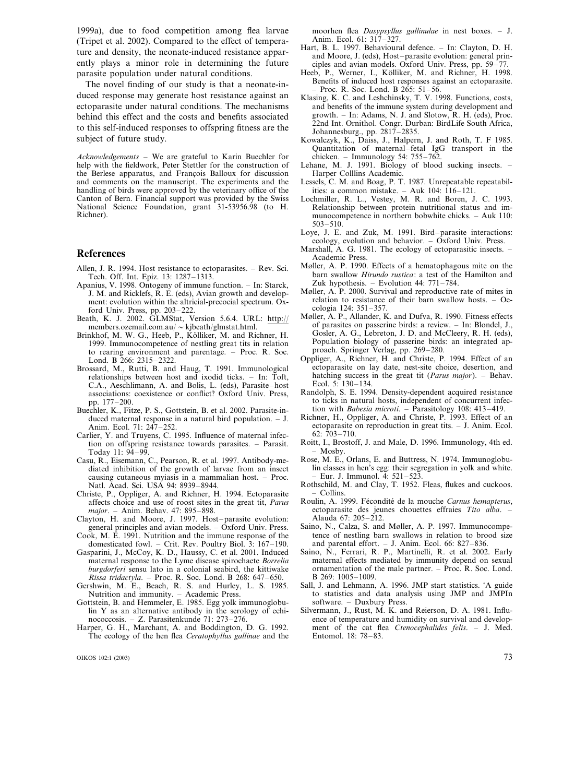1999a), due to food competition among flea larvae (Tripet et al. 2002). Compared to the effect of temperature and density, the neonate-induced resistance apparently plays a minor role in determining the future parasite population under natural conditions.

The novel finding of our study is that a neonate-induced response may generate host resistance against an ectoparasite under natural conditions. The mechanisms behind this effect and the costs and benefits associated to this self-induced responses to offspring fitness are the subject of future study.

*Acknowledgements* – We are grateful to Karin Buechler for help with the fieldwork, Peter Stettler for the construction of the Berlese apparatus, and François Balloux for discussion and comments on the manuscript. The experiments and the handling of birds were approved by the veterinary office of the Canton of Bern. Financial support was provided by the Swiss National Science Foundation, grant 31-53956.98 (to H. Richner).

## **References**

- Allen, J. R. 1994. Host resistance to ectoparasites. Rev. Sci. Tech. Off. Int. Epiz. 13: 1287–1313.
- Apanius, V. 1998. Ontogeny of immune function. In: Starck, J. M. and Ricklefs, R. E. (eds), Avian growth and development: evolution within the altricial-precocial spectrum. Oxford Univ. Press, pp. 203–222.
- Beath, K. J. 2002. GLMStat, Version 5.6.4. URL: http:// members.ozemail.com.au/  $\sim$ kjbeath/glmstat.html.
- Brinkhof, M. W. G., Heeb, P., Kölliker, M. and Richner, H. 1999. Immunocompetence of nestling great tits in relation to rearing environment and parentage. – Proc. R. Soc. Lond. B 266: 2315–2322.
- Brossard, M., Rutti, B. and Haug, T. 1991. Immunological relationships between host and ixodid ticks. – In: Toft, C.A., Aeschlimann, A. and Bolis, L. (eds), Parasite–host associations: coexistence or conflict? Oxford Univ. Press, pp. 177–200.
- Buechler, K., Fitze, P. S., Gottstein, B. et al. 2002. Parasite-induced maternal response in a natural bird population. – J. Anim. Ecol. 71: 247–252.
- Carlier, Y. and Truyens, C. 1995. Influence of maternal infection on offspring resistance towards parasites. – Parasit. Today 11: 94–99.
- Casu, R., Eisemann, C., Pearson, R. et al. 1997. Antibody-mediated inhibition of the growth of larvae from an insect causing cutaneous myiasis in a mammalian host. – Proc. Natl. Acad. Sci. USA 94: 8939–8944.
- Christe, P., Oppliger, A. and Richner, H. 1994. Ectoparasite affects choice and use of roost sites in the great tit, *Parus major*. – Anim. Behav. 47: 895–898.
- Clayton, H. and Moore, J. 1997. Host–parasite evolution: general principles and avian models. – Oxford Univ. Press. Cook, M. E. 1991. Nutrition and the immune response of the
- domesticated fowl. Crit. Rev. Poultry Biol. 3: 167–190. Gasparini, J., McCoy, K. D., Haussy, C. et al. 2001. Induced
- maternal response to the Lyme disease spirochaete *Borrelia burgdorferi* sensu lato in a colonial seabird, the kittiwake *Rissa tridactyla*. – Proc. R. Soc. Lond. B 268: 647–650.
- Gershwin, M. E., Beach, R. S. and Hurley, L. S. 1985. Nutrition and immunity. – Academic Press.
- Gottstein, B. and Hemmeler, E. 1985. Egg yolk immunoglobulin Y as an alternative antibody in the serology of echinococcosis. – Z. Parasitenkunde 71: 273–276.
- Harper, G. H., Marchant, A. and Boddington, D. G. 1992. The ecology of the hen flea *Ceratophyllus gallinae* and the

moorhen flea *Dasypsyllus gallinulae* in nest boxes. – J. Anim. Ecol. 61: 317–327.

- Hart, B. L. 1997. Behavioural defence. In: Clayton, D. H. and Moore, J. (eds), Host–parasite evolution: general principles and avian models. Oxford Univ. Press, pp. 59–77.
- Heeb, P., Werner, I., Kölliker, M. and Richner, H. 1998. Benefits of induced host responses against an ectoparasite. – Proc. R. Soc. Lond. B 265: 51–56.
- Klasing, K. C. and Leshchinsky, T. V. 1998. Functions, costs, and benefits of the immune system during development and growth. – In: Adams, N. J. and Slotow, R. H. (eds), Proc. 22nd Int. Ornithol. Congr. Durban: BirdLife South Africa, Johannesburg., pp. 2817–2835.
- Kowalczyk, K., Daiss, J., Halpern, J. and Roth, T. F 1985. Quantitation of maternal–fetal IgG transport in the chicken. – Immunology 54: 755–762.
- Lehane, M. J. 1991. Biology of blood sucking insects. Harper Colllins Academic.
- Lessels, C. M. and Boag, P. T. 1987. Unrepeatable repeatabilities: a common mistake. – Auk  $104$ :  $116 - 121$ .
- Lochmiller, R. L., Vestey, M. R. and Boren, J. C. 1993. Relationship between protein nutritional status and immunocompetence in northern bobwhite chicks. – Auk 110: 503–510.
- Loye, J. E. and Zuk, M. 1991. Bird–parasite interactions: ecology, evolution and behavior. – Oxford Univ. Press.
- Marshall, A. G. 1981. The ecology of ectoparasitic insects. Academic Press.
- Møller, A. P. 1990. Effects of a hematophagous mite on the barn swallow *Hirundo rustica*: a test of the Hamilton and Zuk hypothesis. – Evolution 44: 771–784.
- Møller, A. P. 2000. Survival and reproductive rate of mites in relation to resistance of their barn swallow hosts. – Oecologia 124: 351–357.
- Møller, A. P., Allander, K. and Dufva, R. 1990. Fitness effects of parasites on passerine birds: a review. – In: Blondel, J., Gosler, A. G., Lebreton, J. D. and McCleery, R. H. (eds), Population biology of passerine birds: an integrated approach. Springer Verlag, pp. 269–280.
- Oppliger, A., Richner, H. and Christe, P. 1994. Effect of an ectoparasite on lay date, nest-site choice, desertion, and hatching success in the great tit (*Parus major*). – Behav. Ecol. 5: 130–134.
- Randolph, S. E. 1994. Density-dependent acquired resistance to ticks in natural hosts, independent of concurrent infection with *Babesia microti*. – Parasitology 108: 413–419.
- Richner, H., Oppliger, A. and Christe, P. 1993. Effect of an ectoparasite on reproduction in great tits. – J. Anim. Ecol. 62: 703–710.
- Roitt, I., Brostoff, J. and Male, D. 1996. Immunology, 4th ed. – Mosby.
- Rose, M. E., Orlans, E. and Buttress, N. 1974. Immunoglobulin classes in hen's egg: their segregation in yolk and white. – Eur. J. Immunol. 4: 521–523.
- Rothschild, M. and Clay, T. 1952. Fleas, flukes and cuckoos. – Collins.
- Roulin, A. 1999. Fécondité de la mouche *Carnus hemapterus*, ectoparasite des jeunes chouettes effraies Tito alba. Alauda 67: 205–212.
- Saino, N., Calza, S. and Møller, A. P. 1997. Immunocompetence of nestling barn swallows in relation to brood size and parental effort. – J. Anim. Ecol. 66: 827–836.
- Saino, N., Ferrari, R. P., Martinelli, R. et al. 2002. Early maternal effects mediated by immunity depend on sexual ornamentation of the male partner. – Proc. R. Soc. Lond. B 269: 1005–1009.
- Sall, J. and Lehmann, A. 1996. JMP start statistics. 'A guide to statistics and data analysis using JMP and JMPIn software. – Duxbury Press.
- Silvermann, J., Rust, M. K. and Reierson, D. A. 1981. Influence of temperature and humidity on survival and development of the cat flea *Ctenocephalides felis*. – J. Med. Entomol. 18: 78–83.